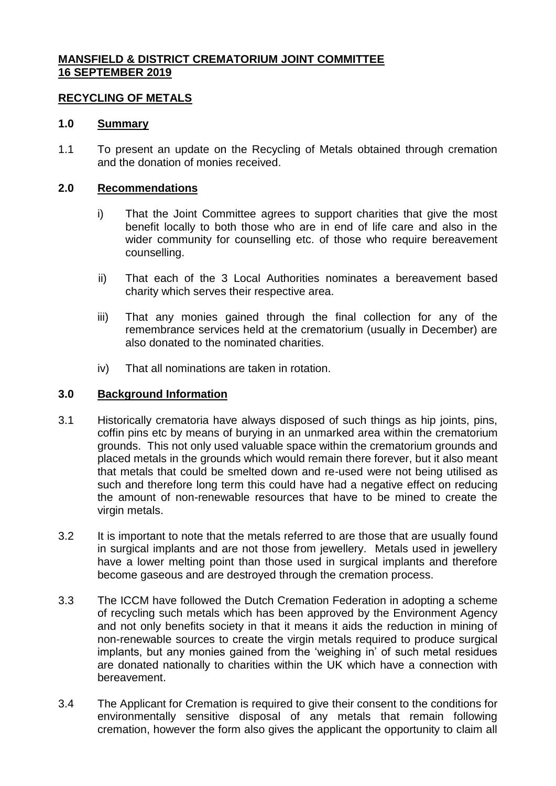# **MANSFIELD & DISTRICT CREMATORIUM JOINT COMMITTEE 16 SEPTEMBER 2019**

# **RECYCLING OF METALS**

### **1.0 Summary**

1.1 To present an update on the Recycling of Metals obtained through cremation and the donation of monies received.

### **2.0 Recommendations**

- i) That the Joint Committee agrees to support charities that give the most benefit locally to both those who are in end of life care and also in the wider community for counselling etc. of those who require bereavement counselling.
- ii) That each of the 3 Local Authorities nominates a bereavement based charity which serves their respective area.
- iii) That any monies gained through the final collection for any of the remembrance services held at the crematorium (usually in December) are also donated to the nominated charities.
- iv) That all nominations are taken in rotation.

#### **3.0 Background Information**

- 3.1 Historically crematoria have always disposed of such things as hip joints, pins, coffin pins etc by means of burying in an unmarked area within the crematorium grounds. This not only used valuable space within the crematorium grounds and placed metals in the grounds which would remain there forever, but it also meant that metals that could be smelted down and re-used were not being utilised as such and therefore long term this could have had a negative effect on reducing the amount of non-renewable resources that have to be mined to create the virgin metals.
- 3.2 It is important to note that the metals referred to are those that are usually found in surgical implants and are not those from jewellery. Metals used in jewellery have a lower melting point than those used in surgical implants and therefore become gaseous and are destroyed through the cremation process.
- 3.3 The ICCM have followed the Dutch Cremation Federation in adopting a scheme of recycling such metals which has been approved by the Environment Agency and not only benefits society in that it means it aids the reduction in mining of non-renewable sources to create the virgin metals required to produce surgical implants, but any monies gained from the 'weighing in' of such metal residues are donated nationally to charities within the UK which have a connection with bereavement.
- 3.4 The Applicant for Cremation is required to give their consent to the conditions for environmentally sensitive disposal of any metals that remain following cremation, however the form also gives the applicant the opportunity to claim all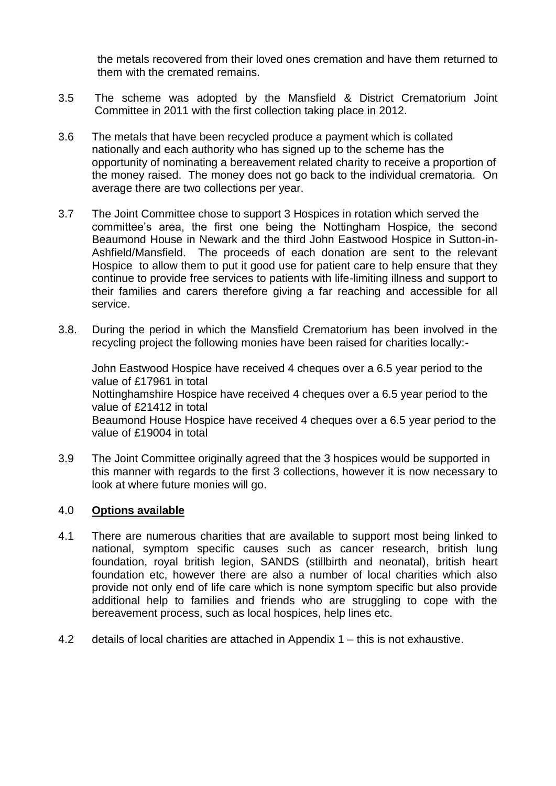the metals recovered from their loved ones cremation and have them returned to them with the cremated remains.

- 3.5 The scheme was adopted by the Mansfield & District Crematorium Joint Committee in 2011 with the first collection taking place in 2012.
- 3.6 The metals that have been recycled produce a payment which is collated nationally and each authority who has signed up to the scheme has the opportunity of nominating a bereavement related charity to receive a proportion of the money raised. The money does not go back to the individual crematoria. On average there are two collections per year.
- 3.7 The Joint Committee chose to support 3 Hospices in rotation which served the committee's area, the first one being the Nottingham Hospice, the second Beaumond House in Newark and the third John Eastwood Hospice in Sutton-in-Ashfield/Mansfield. The proceeds of each donation are sent to the relevant Hospice to allow them to put it good use for patient care to help ensure that they continue to provide free services to patients with life-limiting illness and support to their families and carers therefore giving a far reaching and accessible for all service.
- 3.8. During the period in which the Mansfield Crematorium has been involved in the recycling project the following monies have been raised for charities locally:-

John Eastwood Hospice have received 4 cheques over a 6.5 year period to the value of £17961 in total Nottinghamshire Hospice have received 4 cheques over a 6.5 year period to the value of £21412 in total Beaumond House Hospice have received 4 cheques over a 6.5 year period to the value of £19004 in total

3.9 The Joint Committee originally agreed that the 3 hospices would be supported in this manner with regards to the first 3 collections, however it is now necessary to look at where future monies will go.

## 4.0 **Options available**

- 4.1 There are numerous charities that are available to support most being linked to national, symptom specific causes such as cancer research, british lung foundation, royal british legion, SANDS (stillbirth and neonatal), british heart foundation etc, however there are also a number of local charities which also provide not only end of life care which is none symptom specific but also provide additional help to families and friends who are struggling to cope with the bereavement process, such as local hospices, help lines etc.
- 4.2 details of local charities are attached in Appendix 1 this is not exhaustive.